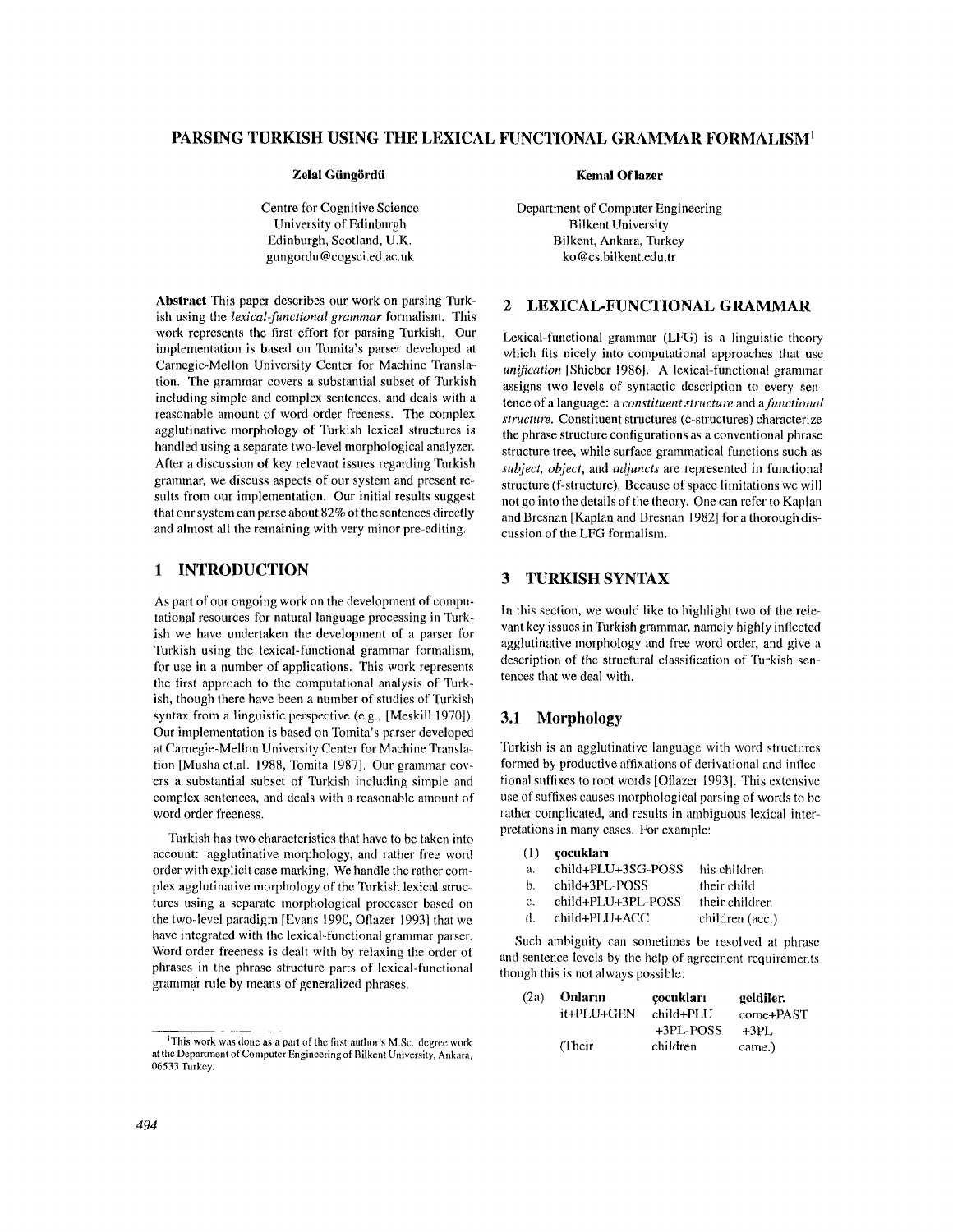# **PARSING TURKISH USING THE LEXICAL FUNCTIONAL GRAMMAR FORMALISM 1**

#### **Zelal Giing6rdii Kemal Oflazer**

Centre for Cognitive Science University of Edinburgh Edinburgh, Scotland, U.K. gungordu @cogsci.ed.ac.uk

**Abstract** This paper describes our work on parsing Turkish using the *lexical-functional grammar* formalism. This work represents the first effort for parsing Turkish. Our implementation is based on Tomita's parser developed at Carnegie-Mellon University Center for Machine Translation. The grammar covers a substantial subset of Turkish including simple and complex sentences, and deals with a reasonable amount of word order freeness. The complex agglutinative morphology of Turkish lexical structures is handled using a separate two-level morphological analyzer. After a discussion of key relevant issues regarding Turkish grammar, we discuss aspects of our system and present results from our implementation. Our initial results suggest that our system can parse about 82% of the sentences directly and almost all the remaining with very minor pre-editing.

## 1 INTRODUCTION

As part of our ongoing work on the development of computational resources for natural language processing in Turkish we have undertaken the development of a parser for Turkish using the lexical-functional grammar formalism, for use in a number of applications. This work represents the first approach to the computational analysis of Turkish, though there have been a number of studies of Turkish syntax from a linguistic perspective (e.g., [Meskill 1970]). Our implementation is based on Tomita's parser developed at Carnegie-Mellon University Center for Machine Translation [Musha et.al. 1988, Tomita 1987]. Our grammar covers a substantial subset of Turkish including simple and complex sentences, and deals with a reasonable amount of word order freeness.

Turkish has two characteristics that have to be taken into account: agglutinative morphology, and rather free word order with explicit case marking. We handle the rather complex agglutinative morphology of the Turkish lexical structures using a separate morphological processor based on the two-level paradigm [Evans 1990, Otlazer 1993] that we have integrated with the lexical-functional grammar parser. Word order freeness is dealt with by relaxing the order of phrases in the phrase structure parts of lexical-functional grammar rule by means of generalized phrases.

Department of Computer Engineering Bilkent University Bilkent, Ankara, Turkey ko @cs.bilkent.edu.tr

# 2 LEXICAL-FUNCTIONAL **GRAMMAR**

Lexical-functional grammar (LFG) is a linguistic theory which fits nicely into computational approaches that use *unification* IShieber 1986]. A lexical-functional grammar assigns two levels of syntactic description to every sentence of a language: a *constituent structure* and *a functional structure.* Constituent structures (c-structures) characterize the phrase structure configurations as a conventional phrase structure tree, while surface grammatical functions such as *subject, object,* and *adjuncts* are represented in functional structure (f-structure), Because of space limitations we will not go into the details of the theory. One can refer to Kaplan and Bresnan [Kaplan and Bresnan 1982] for a thorough discussion of the LFG formalism.

# 3 TURKISH SYNTAX

In this section, we would like to highlight two of the relevant key issues in Turkish grammar, namely highly inflected agglutinative morphology and free word order, and give a description of the structural classification of Turkish sentences that we deal with.

# **3.1 Morphology**

Turkish is an agglutinative language with word structures formed by productive affixations of derivational and inflectional suffixes to root words [Oflazer 1993]. This extensive use of suffixes causes morphological parsing of words to be rather complicated, and results in ambiguous lexical interpretations in many cases. For example:

| (1) |  | çocukları |  |  |
|-----|--|-----------|--|--|
|-----|--|-----------|--|--|

| a.             | child+PLU+3SG-POSS | his children    |
|----------------|--------------------|-----------------|
| b.             | child+3PL-POSS     | their child     |
| $\mathbf{c}$ . | child+PLU+3PL-POSS | their children  |
| đ.             | child+PLU+ACC      | children (acc.) |
|                |                    |                 |

Such ambiguity can sometimes be resolved at phrase and sentence levels by the help of agreement requirements though this is not always possible:

| (2a) | Onların    | çocukları | geldiler. |
|------|------------|-----------|-----------|
|      | it+PLU+GEN | child+PLU | come+PAST |
|      |            | +3PL-POSS | $+3PI.$   |
|      | (Their)    | children  | came.)    |

IThis work was done as a part of the first author's M.Sc. degree work at the Department of Computer Engineering of Bilkent University, Ankara, 06533 Turkey.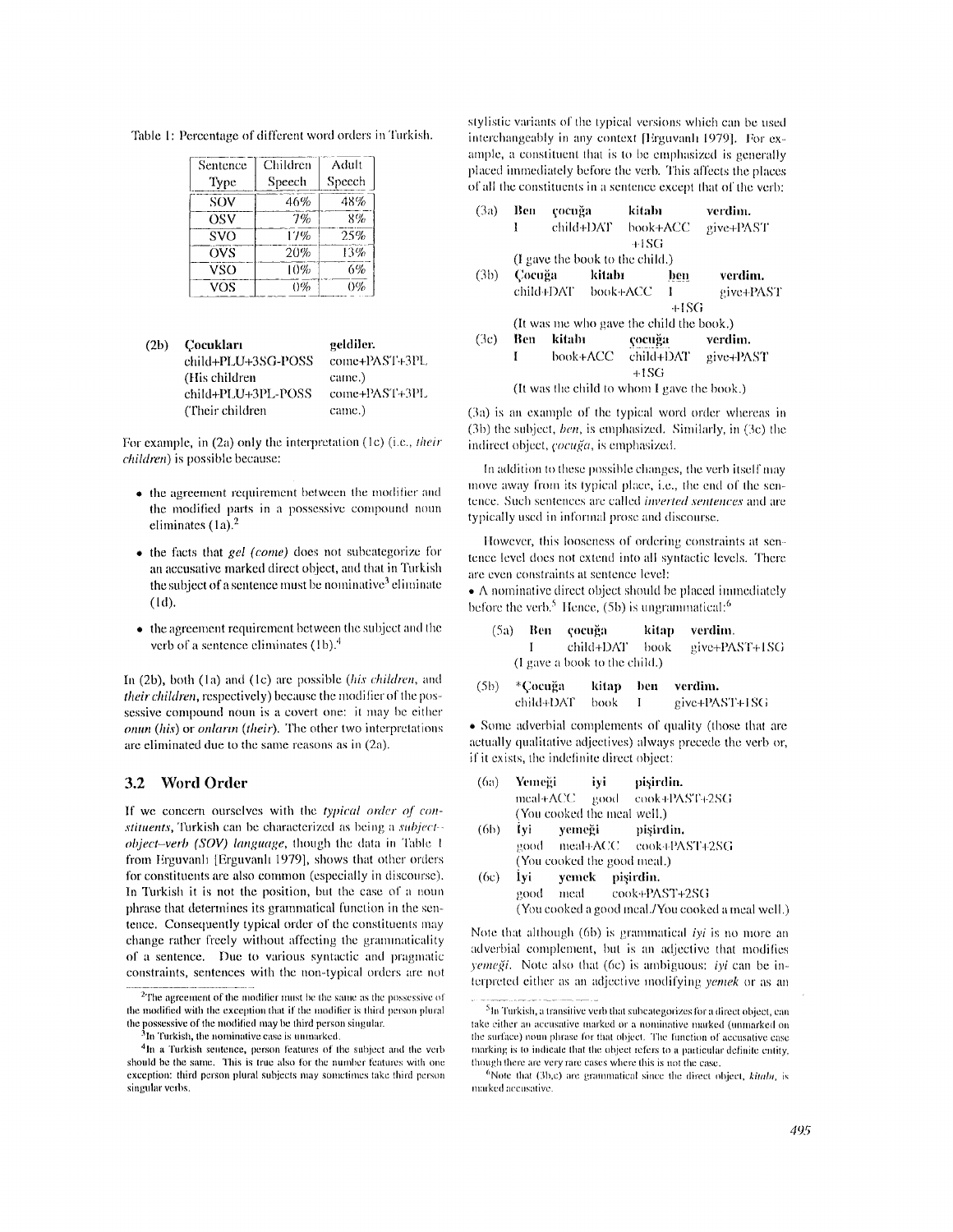Table 1: Percentage of different word orders in Turkish.

| Sentence   | Children | Adult  |
|------------|----------|--------|
| Type       | Speech   | Speech |
| SOV        | 46%      | 48%    |
| OSV        | 7%       | 8%     |
| <b>SVO</b> | 17%      | 25%    |
| OVS        | 20%      | 13%    |
| <b>VSO</b> | 10%      | 6%     |
| VOS        | 0%       | 0%     |

| (2b) | - Cocukları        | geldiler.     |
|------|--------------------|---------------|
|      | child+PLU+3SG-POSS | come+PAST+3PL |
|      | (His children)     | came.)        |
|      | child+PLU+3PL-POSS | come+PAST+3PL |
|      | (Their children)   | came.)        |

For example, in (2a) only the interpretation (1c) (i.e., *their children*) is possible because:

- the agreement requirement between the modifier and the modified parts in a possessive compound noun eliminates  $(1a)^2$
- $\bullet$  the facts that gel (come) does not subcategorize for an accusative marked direct object, and that in Turkish the subject of a sentence must be nominative<sup>3</sup> eliminate  $(1d)$ .
- the agreement requirement between the subject and the verb of a sentence eliminates  $(1b)$ .<sup>4</sup>

In  $(2b)$ , both  $(1a)$  and  $(1c)$  are possible *(his children*, and their children, respectively) because the modifier of the possessive compound noun is a covert one: it may be either onun (his) or onların (their). The other two interpretations are eliminated due to the same reasons as in (2a).

#### $3.2$ **Word Order**

If we concern ourselves with the typical order of constituents, Turkish can be characterized as being a subject- $object$ -verb (SOV) language, though the data in Table 1 from Erguvanlı [Erguvanlı 1979], shows that other orders for constituents are also common (especially in discourse). In Turkish it is not the position, but the case of a noun phrase that determines its grammatical function in the sentence. Consequently typical order of the constituents may change rather freely without affecting the grammaticality of a sentence. Due to various syntactic and pragmatic constraints, sentences with the non-typical orders are not stylistic variants of the typical versions which can be used interchangeably in any context [Erguvanlı 1979]. For example, a constituent that is to be emphasized is generally placed immediately before the verb. This affects the places of all the constituents in a sentence except that of the verb;

| (3a) | Ben<br>ł      | çocuğa                                   | child+DAT_ | kitabı<br>book+ACC<br>+ISG |     | verdim.<br>give+PAST                        |
|------|---------------|------------------------------------------|------------|----------------------------|-----|---------------------------------------------|
|      |               | (I gave the book to the child.)          |            |                            |     |                                             |
|      | (3b) — Cocuğa |                                          | kitabı     |                            | ben | verdim.                                     |
|      |               | child+DAT book+ACC                       |            |                            |     | give+PAST                                   |
|      | +ISG          |                                          |            |                            |     |                                             |
|      |               | (It was me who gave the child the book.) |            |                            |     |                                             |
| (3c) | Ben           | kitabı                                   |            | çocuğa                     |     | verdim.                                     |
|      |               |                                          | book+ACC = | $+1SG$                     |     | child+DAT give+PAST                         |
|      |               |                                          |            |                            |     | (It was the child to whom I gave the book.) |

(3a) is an example of the typical word order whereas in (3b) the subject, *ben*, is emphasized. Similarly, in (3c) the indirect object, *çocuğa*, is emphasized.

In addition to these possible changes, the verb itself may move away from its typical place, i.e., the end of the sentence. Such sentences are called *inverted sentences* and are typically used in informal prose and discourse.

However, this looseness of ordering constraints at sentence level does not extend into all syntactic levels. There are even constraints at sentence level:

• A nominative direct object should be placed immediately before the verb.<sup>5</sup> Hence, (5b) is ungrammatical: $6$ 

|  | (5a) Ben cocuğa               | kitap verdim.                  |
|--|-------------------------------|--------------------------------|
|  |                               | I child+DAT book give+PAST+1SG |
|  | (I gave a book to the child.) |                                |

\*Cocuğa verdim.  $(5b)$ kitap ben child+DAT give+PAST+1SG book  $\mathbf{I}$ 

• Some adverbial complements of quality (those that are actually qualitative adjectives) always precede the verb or, if it exists, the indefinite direct object:

| (6a) | <b>Yemeĕi</b>               | ivi | -pisirdin.                  |
|------|-----------------------------|-----|-----------------------------|
|      |                             |     | meal+ACC good cook+PAST+2SG |
|      | (You cooked the meal well.) |     |                             |

- İyi  $(6b)$ yemeği pişirdin. meal+ACC cook+PAST+2SG  $9000$ (You cooked the good meal.)
- 1 vi  $(6c)$ vemek pisirdin. cook+PAST+2SG meal good (You cooked a good meal./You cooked a meal well.)

Note that although  $(6b)$  is grammatical *iyi* is no more an adverbial complement, but is an adjective that modifies yemeği. Note also that (6c) is ambiguous: iyi can be interpreted either as an adjective modifying *yemek* or as an

 $2$ The agreement of the modifier must be the same as the possessive of the modified with the exception that if the modifier is third person plural the possessive of the modified may be third person singular.

In Turkish, the nominative case is unmarked.

<sup>&</sup>lt;sup>4</sup>In a Turkish sentence, person features of the subject and the verb should be the same. This is true also for the number features with one exception: third person plural subjects may sometimes take third person singular verbs.

<sup>&</sup>lt;sup>5</sup>In Turkish, a transitive verb that subcategorizes for a direct object, can take either an accusative marked or a nominative marked (unmarked on the surface) noun phrase for that object. The function of accusative case marking is to indicate that the object refers to a particular definite entity. though there are very rare cases where this is not the case.

 ${}^{6}$ Note that (3b,c) are grammatical since the direct object, kitabi, is marked accusative.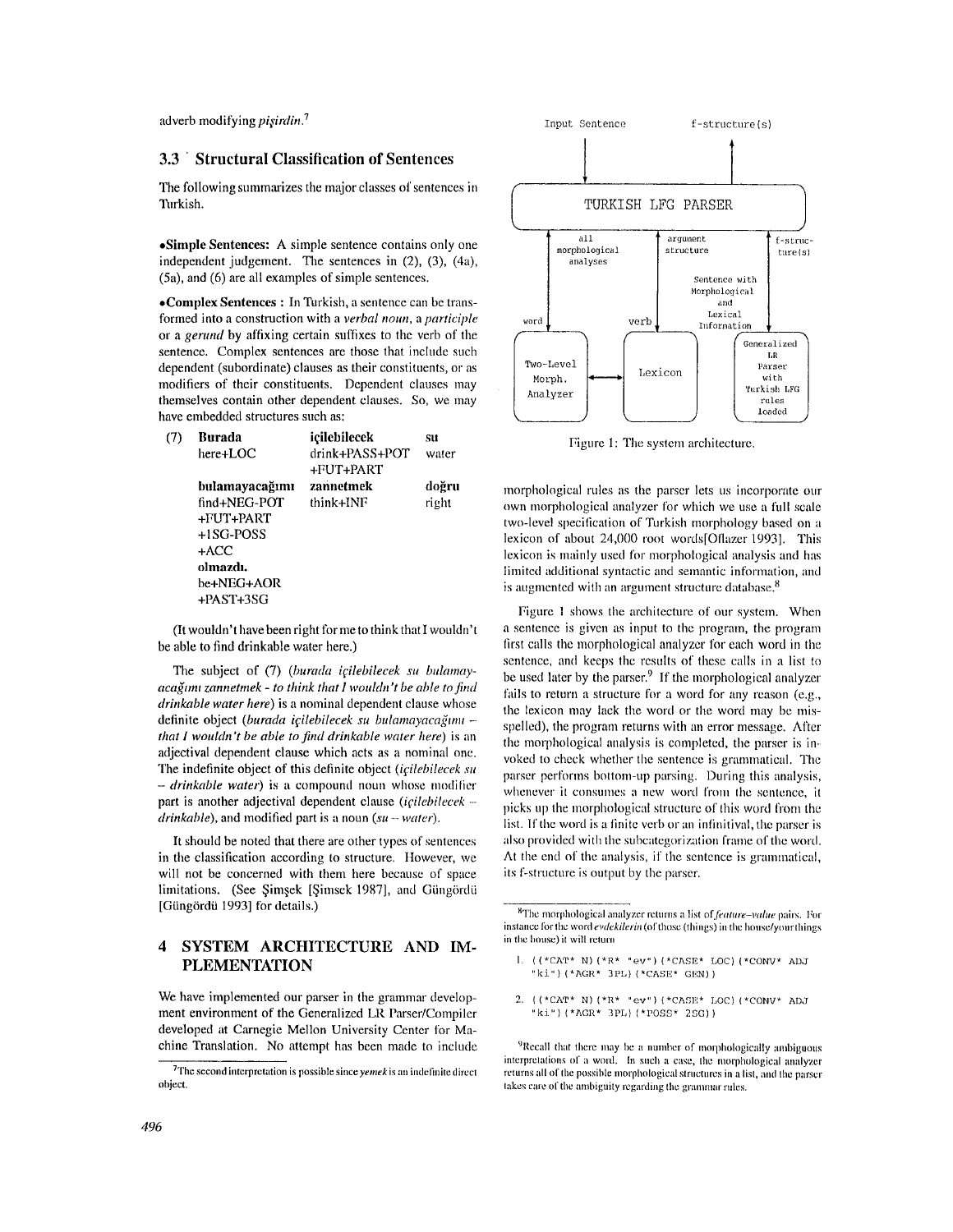adverb modifying *pişirdin*.<sup>7</sup>

## **3.3 ' Structural Classification of Sentences**

The following summarizes the major classes of sentences in Turkish.

**,Simple Sentences:** A simple sentence contains only one independent judgement. The sentences in  $(2)$ ,  $(3)$ ,  $(4a)$ , (5a), and (6) are all examples of simple sentences.

**,Complex Sentences :** In Turkish, a sentence can be transformed into a construction with a *verbal noun*, a *participle* or a *gerund* by affixing certain suffixes to the verb of the sentence. Complex sentences are those that include such dependent (subordinate) clauses as their constituents, or as modifiers of their constituents. Dependent clauses may themselves contain other dependent clauses. So, we may have embedded structures such **as:** 

| (7) | <b>Burada</b>  | icilebilecek                | SH    |
|-----|----------------|-----------------------------|-------|
|     | here+LOC       | drink+PASS+POT<br>+FUT+PART | water |
|     | bulamayacağımı | zannetmek                   | doğru |
|     | find+NEG-POT   | think+INF                   | right |
|     | +FUT+PART      |                             |       |
|     | +1SG-POSS      |                             |       |
|     | +ACC           |                             |       |
|     | olmazdı.       |                             |       |
|     | be+NEG+AOR     |                             |       |
|     | +PAST+3SG      |                             |       |
|     |                |                             |       |

(It wouldn't have been right for me to think that I wouldn't be able to find drinkable water here.)

The subject of (7) (burada icilebilecek su bulamay*acağımı zannetmek - to think that I wouldn't be able to find drinkable water here)* is a nominal dependent clause whose definite object (burada içilebilecek su bulamayacağımı *that I wouldn't be able to find drinkable water here)* is an adjectival dependent clause which acts as a nominal one. The indefinite object of this definite object *(icilebilecek su - drinkable water*) is a compound noun whose modifier part is another adjectival dependent clause *(icilebilecek drinkable),* and modified part is a noun *(su - water).* 

It should be noted that there are other types of sentences in the classification according to structure. However, we will not be concerned with them here because of space limitations. (See Şimşek [Şimsek 1987], and Güngördü [Güngördü 1993] for details.)

# **4 SYSTEM ARCHITECTURE AND IM-PLEMENTATION**

We have implemented our parser in the grammar developmeat environment of the Generalized LR Parser/Compiler developed at Carnegie Mellon University Center for Machine Translation. No attempt has been made to include



Figure 1: The system architecture.

morphological rules as the parser lets us incorporate onr own morphological analyzer for wbich we use a full scale two-level specification of Turkish morphology based on a lexicon of about 24,000 root words[Oflazer 1993]. This lexicon is mainly used for morphological analysis and has limited additional syntactic and semantic information, and is augmented with an argument structure database.<sup>8</sup>

Figure 1 shows the architecture of our system. When a sentence is given as input to the program, the program first calls the morphological analyzer for each word in the sentence, and keeps the results of these calls in a list to be used later by the parser.<sup>9</sup> If the morphological analyzer fails to return a structure for a word for any reason (e.g., the lexicon may lack the word or the word may be misspelled), the program returns with an error message. After the morphological analysis is completed, the parser is invoked to check whether the sentence is granmmtical. The parser performs bottom-up parsing. During this analysis, whenever it consumes a new word from the sentence, it picks up the morphological structure of this word from the list. If the word is a finite verb or an infinitival, the parser is also provided with the subcategorization frame of the word, At the end of the analysis, if the sentence is grammatical, its f-structure is output by the parser.

- I. ((\*CAT\* N) (\*R\* "ev") (\*CASE\* LOC) (\*CONV\* ADJ "ki") (\*AGE\* 3PL) (\*CASE\* GEN) )
- 2. ((\*CAT\* N) (\*R\* "ev") (\*CASE\* LOC) (\*CONV\* ADJ "ki") (\*AGR\* 3PL) (\*POSS\* 2SG))

<sup>9</sup>Recall that there may be a number of morphologically ambiguous interpretations of a word. In such a case, the morphological analyzer returns all of the possible morphological structures in a list, and the parser takes care of the ambiguity regarding the grammar rules.

<sup>7</sup>The second interpretation is possible since *yemek* is an indefinite direct object.

<sup>8</sup>The morphological mudyzer returns a list *nfJkature-vahw* pairs. For instance for the word *evdekilerin* (of those (things) in the house/your things in the house) it will return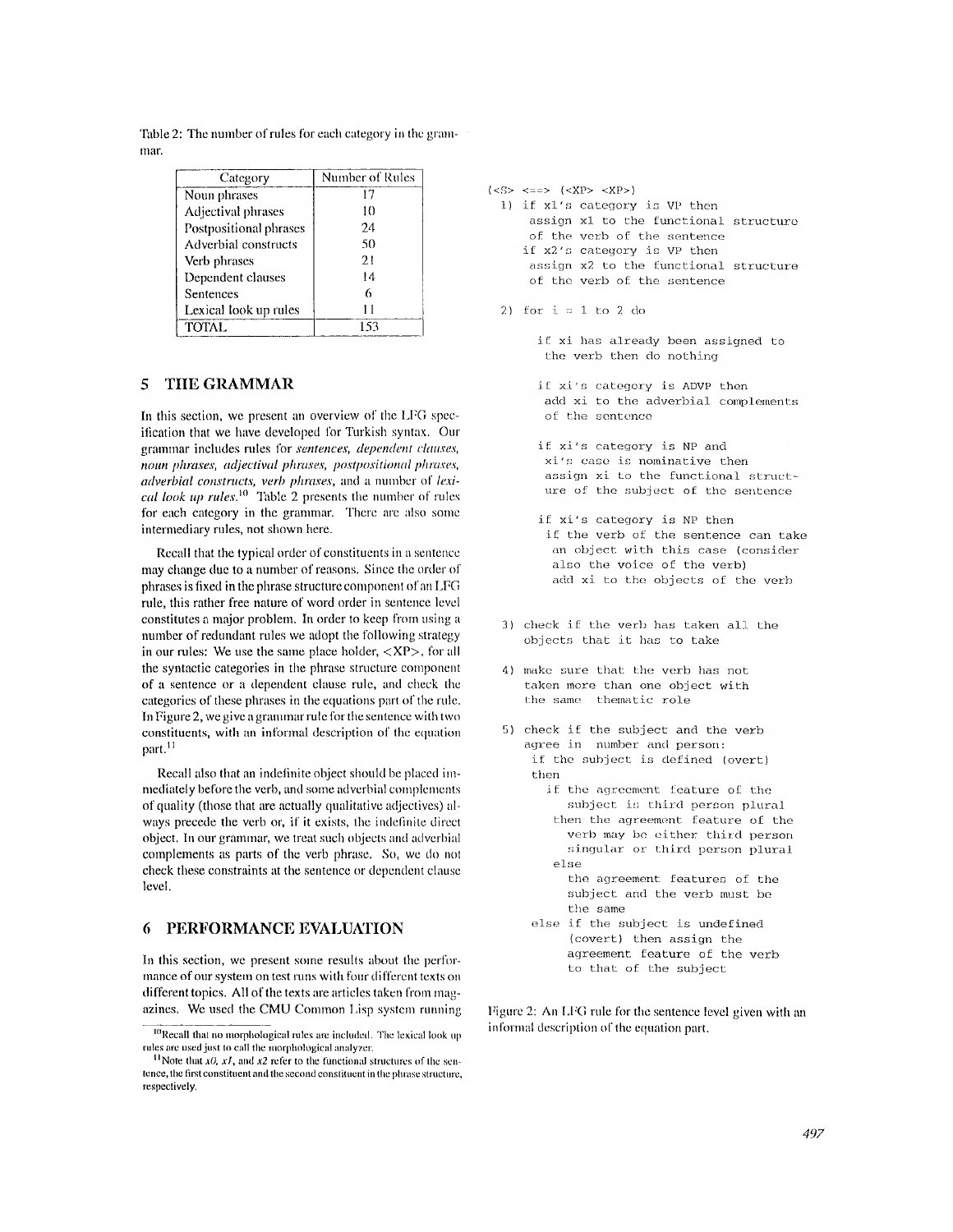| Category               | Number of Rules |
|------------------------|-----------------|
| Noun phrases           |                 |
| Adjectival phrases     | 10              |
| Postpositional phrases | 24              |
| Adverbial constructs   | 50              |

TOTAL 153

Table 2: The number of rules for each category in the grammar.

# **5 TItE GRAMMAR**

Verb phrases Dependent clauses **Sentences** 

Lexical look up rules

In this section, we present an overview of the LFG specification that we have developed for Turkish syntax. Our grammar inchldes rules for *sentences, dependent clauses, noun phrases, adjectival phrases, postpositional phraxes, adverbial constructs, verb phrases, and a number of lexical look up rules.*<sup>10</sup> Table 2 presents the number of rules for each category in the grammar. There are also some intermediary rules, not shown here.

Recall that the typical order of constituents in a sentence may change due to a number of reasons. Since the order of phrases is tixed in the phrase structure component of an LFG rule, this rather free nature of word order in sentence level constitutes a major problem. In order to keep from using a number of redundant rules we adopt the following strategy in our rules: We use the same place bolder, <XP>, for all the syntactic categories in the phrase structure component of a sentence or a dependent clause rule, and check the categories of these phrases in the equations part of the rule. In Figure 2, we give a grammar rule for the sentence with two constituents, with an informal description of the equation part. $^{11}$ 

Recall also that an indefinite object should be placed immediately before the verb, and some adverbial complements of quality (those that are actually qualitative adjectives) always precede the verb or, if it exists, the indefinite direct object. In our grammar, we treat such objects and adverbial complements as parts of the verb phrase. So, we do not check these constraints at the sentence or dependent clause level.

# **6 PERFORMANCE EVALUATION**

In this section, we present some results about the performance of our system on test runs with four different texts on different topics. All of the texts are articles taken from magazines. We used the CMU Common Lisp system running

```
(<i>S</i> > <i><=</i> > (<i>KP</i> > <i>KP</i>)1) if x1's category is VP then
      assign x1 to the functional structure
      of the verb of the sentence 
     if x2's category is VP then 
      assign x2 to the functional structure
      of the verb of the sentence
```
2) for  $i = 1$  to 2 do

if xi has already been assigned to the verb then do nothing

if xi's category is ADVP then add xi to the adverbial complements of the sentence

if xi's category is NP and xi's case is nominative then assign xi to the functional structure of the subject of the sentence

- if xi's category is NP then if the verb of the sentence can take an object with this case (consider also the voice of the verb) add xi to the objects of the verb
- 3) check if the verb has taken all the objects that it has to take
- 4) make sure that the verb has not taken more than one object with the same thematic role
- 5) check if the subject and the verb agree in number and person: if the subject is defined (overt) then
	- if the agreement feature of the subject is third person plural then the agreement feature of the *verb* may be either third person singular or third person plural else
		- the agreement features of the subject and the verb must be the same
	- else if the subject is undefined (covert) then assign the agreement feature of the verb to that of the subject

Figure 2: An LFG rule for the sentence level given with an informal description of the equation part.

I°Recall that no morphological rules are included. The lcxical look up rules are used just to call the morphological analyzer.

<sup>&</sup>lt;sup>11</sup> Note that  $x\theta$ ,  $x\ell$ , and  $x\ell$  refer to the functional structures of the sentence, the first constituent and the second constituent in the phrase structure, respectively.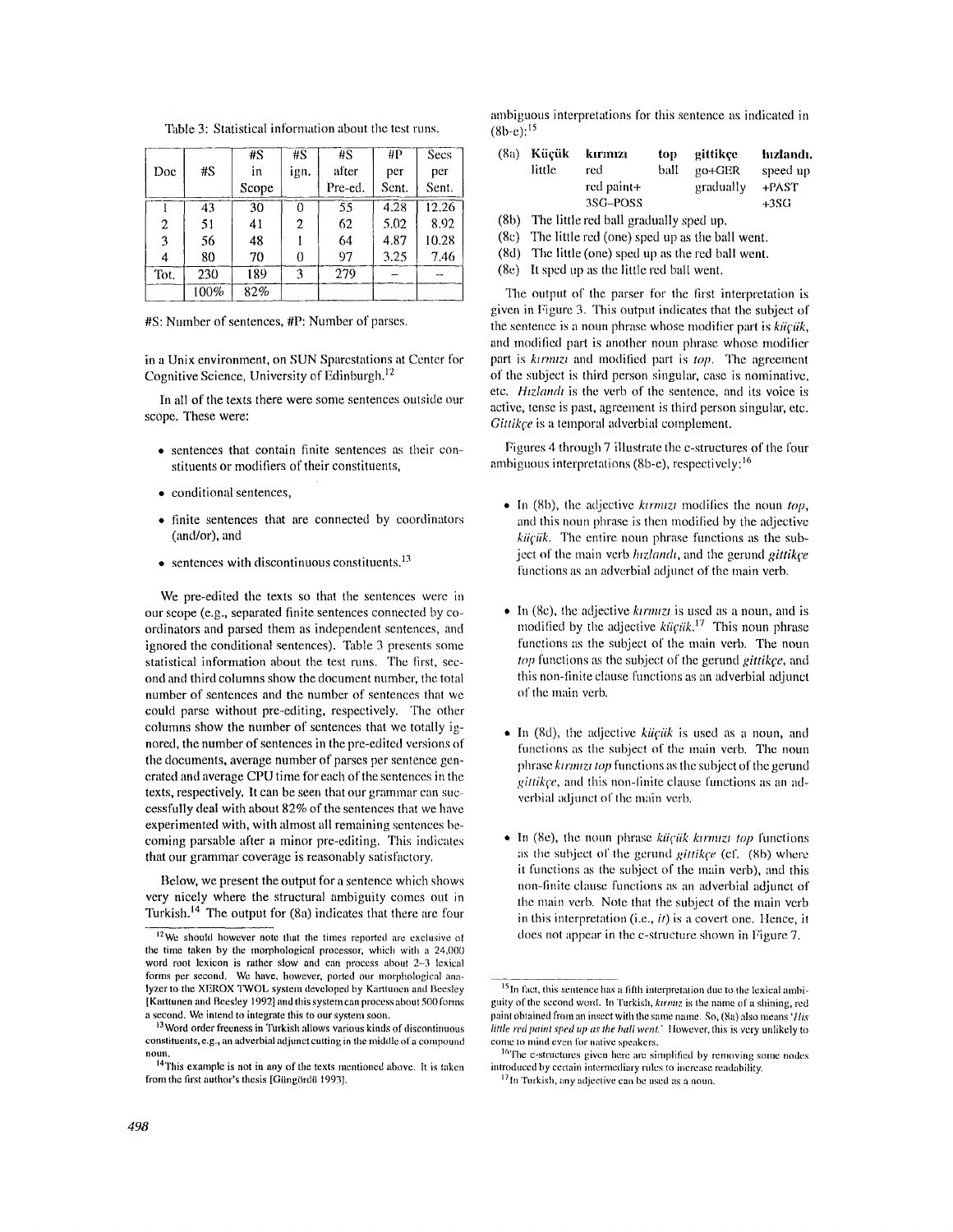|      |      | #S    | #S   | #S      | #P    | Secs  |
|------|------|-------|------|---------|-------|-------|
| Doc  | #S   | in    | ign. | after   | per   | per   |
|      |      | Scope |      | Pre-ed. | Sent. | Sent. |
|      | 43   | 30    | 0    | 55      | 4.28  | 12.26 |
| 2    | 51   | 41    | 2    | 62      | 5,02  | 892   |
| 3    | 56   | 48    |      | 64      | 4.87  | 10.28 |
| 4    | 80   | 70    | 0    | 97      | 3.25  | 7.46  |
| Tot. | 230  | 189   | 3    | 279     |       |       |
|      | 100% | 82%   |      |         |       |       |

Table 3: Statistical information about the test runs.

#S: Number of sentences, #P: Number of parses.

in a Unix environment, on SUN Sparcstations at Center for Cognitive Science, University of Edinburgh. $<sup>12</sup>$ </sup>

In all of the texts there were some sentences outside our scope. These were:

- ,, sentences that contain finite sentences as their constituents or modifiers of their constituents,
- conditional sentences,
- ,, finite sentences that are connected by coordinators (and/or), and
- $\bullet$  sentences with discontinuous constituents.<sup>13</sup>

We pre-edited the texts so that the sentences were in our scope (e.g., separated finite sentences connected by coordinators and parsed them as independent sentences, and ignored the conditional sentences). Table 3 presents some statistical information about the test runs. The first, second and third columns show the document number, the total number of sentences and the number of sentences that we could parse without pre-editing, respectively. The other columns show the number of sentences that we totally ignored, the number of sentences in the pre-edited versions of the documents, average number of parses per sentence generated and average CPU time for each of the sentences in the texts, respectively. It can be seen that our grammar can successfully deal with about 82% of the sentences that we have experimented with, with almost all remaining sentences becoming passable after a minor pre-editing. This indicates that our grammar coverage is reasonably satisfactory.

Below, we present the output for a sentence which shows very nicely where the structural ambiguity comes out in Turkish.<sup>14</sup> The output for  $(8a)$  indicates that there are four ambiguous interpretations for this sentence as indicated in  $(8b-e):^{15}$ 

| (8a) | Kücük  | kırmızı    | top  | gittikce  | hızlandı. |
|------|--------|------------|------|-----------|-----------|
|      | little | red        | ball | $gO+GER$  | speed up  |
|      |        | red paint+ |      | gradually | +PAST     |
|      |        | 3SG-POSS   |      |           | $+3SG$    |

(8b) The little red ball gradually sped up.

- (8c) The little red (one) sped up as the ball went.
- (Sd) The little (one) sped up as the red ball went.
- $(8e)$  It sped up as the little red ball went.

The output of the parser for the first interpretation is given in Figure 3. This output indicates that the subject of the sentence is a noun phrase whose modifier part is *kiiciik*, and modified part is another noun phrase whose modifier part is *ktrmtzt* and modified part is *top.* The agreement of the subject is third person singular, case is nominative, etc. *Htzlandt* is the verb of the sentence, and its voice is active, tense is past, agreement is third person singular, etc. *Gittikce* is a temporal adverbial complement.

Figures 4 through 7 illustrate the c-structures of the four ambiguous interpretations (8b-e), respectively:<sup>16</sup>

- In (8b), the adjective *kirmizi* modifies the noun *top*, and this noun phrase is then modified by the adjective *kiiçiik*. The entire noun phrase functions as the subject of the main verb *hizlandt*, and the gerund *gittikce* functions as an adverbial adjunct of the main verb.
- In (8c), the adjective *kirmizi* is used as a noun, and is modified by the adjective *küçük*.<sup>17</sup> This noun phrase functions as the subject of the main verb. The noun top functions as the subject of the gerund *gittikce*, and this non-finite clause functions as an adverbial adjunct of the main verb.
- In (Sd), the adjective *kiigtik* is used as a noun, and functions as the subject of the main verb. The noun phrase *ktrmtzt top* functions as the subject of the gerund *gittikce*, and this non-finite clause functions as an adverbial adjunct of the main verb.
- In (8e), the noun phrase *küçük kirmizi top* functions as the subject of the gerund *gittikçe* (cf. (8b) where it functions as the subject of the main verb), and this non-finite clause functions as an adverbial adjunct of the main verb. Note that the subject of the main verb in this interpretation (i.e., *it*) is a covert one. Hence, it does not appear in the c-structure shown in Figure 7.

 $12$ We should however note that the times reported are exclusive of the time taken by the morphological processor, which with a  $24,000$ word root lexicon is rather slow and can process about 2-3 lexical forms per second. We have, however, ported our morphological analyzer to the XEROX TWOL system developed by Karttunen and Beesley [Karttunen and Beesley 1992] and this system can process about 500 forms a second. We intend to integrate this to our system soon.

<sup>&</sup>lt;sup>13</sup> Word order freeness in Turkish allows various kinds of discontinuous constituents, e.g., an adverbial adjunct cutting in the middle of a compound noun.

<sup>&</sup>lt;sup>14</sup>This example is not in any of the texts mentioned above. It is taken from the first author's thesis [Güngördü 1993].

<sup>&</sup>lt;sup>15</sup> In fact, this sentence has a fifth interpretation due to the lexical ambiguity of the second word. In Turkish, *ktrnuz* is the name of a shining, red paint obtained from an insect with the same name. So, (8a) also means *'Itis little red paint sped up as the hall went.'* However, this is very unlikely to come to mind even for native speakers.

<sup>&</sup>lt;sup>16</sup>The e-structures given here are simplified by removing some nodes introduced by certain intermediary rules to increase readability.

<sup>&</sup>lt;sup>17</sup> In Turkish, any adjective can be used as a noun.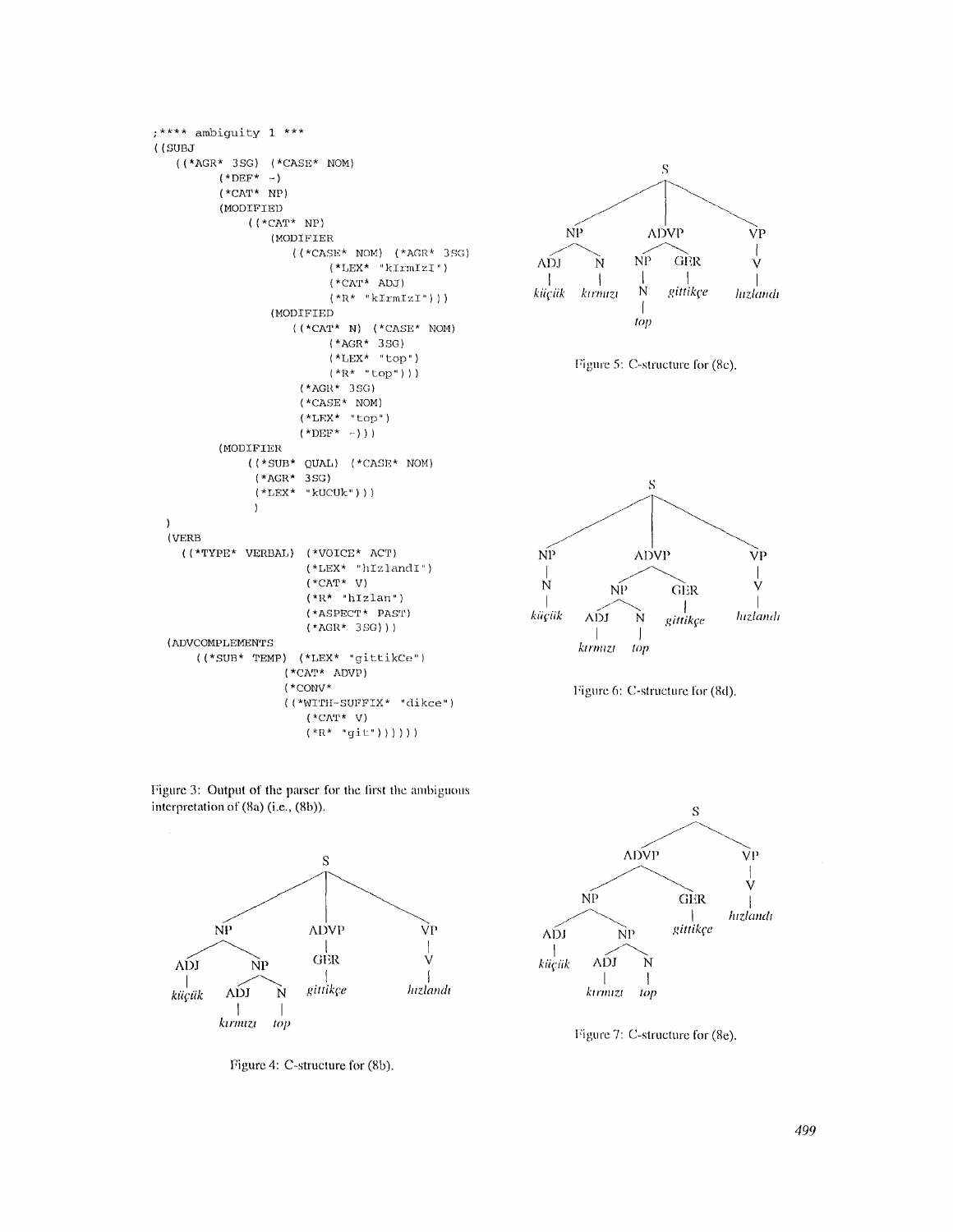```
;*** ambiguity 1 ***
((SUBJ
    ((*AGR* 3SG) (*CASE* NOM)(*DEF^* -)(*CAT* NP)(MODIFIED
                    ((*<b>CAT*</b> NP))(MODIFIER
                              ((*.CASE* NOM) (* AGR* 3SG)(*LEX* "kIrmIZI")(*CAT* ADJ)(*R* "kIrmIzI"))(MODIFIED
                              \left(\text{ (}^\star\text{CAT}^\star \text{ }\text{N}\right)\text{ (}^\star\text{CASE}^\star \text{ }\text{NOM}\right)(*AGR* 3SG)(*LEX* "top")(*R* "top"))
                               (*AGR* 3SG)(*{\tt CASE*} NOM)
                               (*LEX* *top")(*DEF^* - ) ) )(MODIFIER
                    ((*SUB*QUAL) (*CASE*NOM)(*AGR* 3SG)(*LEX* "kUCUk"))
                     \lambda\lambda(VERB)(\hspace{1.5em}(\star\texttt{TYPE*}\hspace{1.5em} \texttt{VERBAL})\hspace{1.5em}(\star\texttt{VOTCE*}\hspace{1.5em}\texttt{ACT})(*LEX* "hIzlandI")(\star_{\rm CAT^{\star}} \ \lor)(*R* "hIzlan")(*ASPECT* PAST)(*AGR* 3SG))(ADVCOMPLEMENTS
         ((*SUB* TEMP) (*LEX* "gittikCe")
                            \left(\,{}^{\star}\mathrm{CAT} \,{}^{\star}\  \,{}^{\star}\mathrm{ADVP}\right)(*\text{conv}*((*WITH-SUFFIX* "dikce")(*\text{CAT*} \ V)(*R* "git")))))
```








Figure 3: Output of the parser for the first the ambiguous interpretation of (8a) (i.e., (8b)).



Figure 4: C-structure for (8b).



Figure 7: C-structure for (8e).